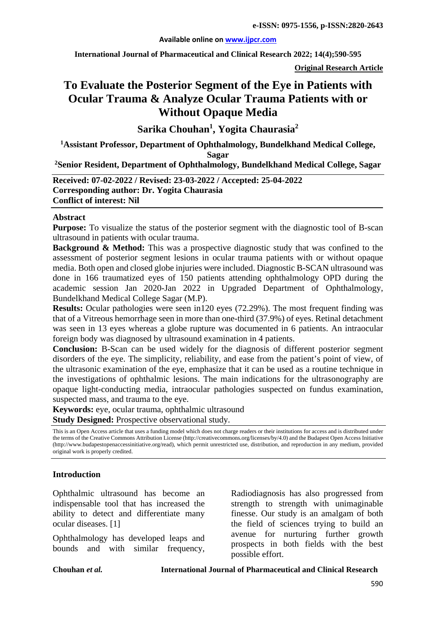#### **Available online on [www.ijpcr.com](http://www.ijpcr.com/)**

**International Journal of Pharmaceutical and Clinical Research 2022; 14(4);590-595**

**Original Research Article**

# **To Evaluate the Posterior Segment of the Eye in Patients with Ocular Trauma & Analyze Ocular Trauma Patients with or Without Opaque Media**

**Sarika Chouhan1 , Yogita Chaurasia2** 

**1 Assistant Professor, Department of Ophthalmology, Bundelkhand Medical College,** 

**Sagar**

**2Senior Resident, Department of Ophthalmology, Bundelkhand Medical College, Sagar**

**Received: 07-02-2022 / Revised: 23-03-2022 / Accepted: 25-04-2022 Corresponding author: Dr. Yogita Chaurasia Conflict of interest: Nil**

#### **Abstract**

**Purpose:** To visualize the status of the posterior segment with the diagnostic tool of B-scan ultrasound in patients with ocular trauma.

**Background & Method:** This was a prospective diagnostic study that was confined to the assessment of posterior segment lesions in ocular trauma patients with or without opaque media. Both open and closed globe injuries were included. Diagnostic B-SCAN ultrasound was done in 166 traumatized eyes of 150 patients attending ophthalmology OPD during the academic session Jan 2020-Jan 2022 in Upgraded Department of Ophthalmology, Bundelkhand Medical College Sagar (M.P).

**Results:** Ocular pathologies were seen in120 eyes (72.29%). The most frequent finding was that of a Vitreous hemorrhage seen in more than one-third (37.9%) of eyes. Retinal detachment was seen in 13 eyes whereas a globe rupture was documented in 6 patients. An intraocular foreign body was diagnosed by ultrasound examination in 4 patients.

**Conclusion:** B-Scan can be used widely for the diagnosis of different posterior segment disorders of the eye. The simplicity, reliability, and ease from the patient's point of view, of the ultrasonic examination of the eye, emphasize that it can be used as a routine technique in the investigations of ophthalmic lesions. The main indications for the ultrasonography are opaque light-conducting media, intraocular pathologies suspected on fundus examination, suspected mass, and trauma to the eye.

**Keywords:** eye, ocular trauma, ophthalmic ultrasound **Study Designed:** Prospective observational study.

This is an Open Access article that uses a funding model which does not charge readers or their institutions for access and is distributed under the terms of the Creative Commons Attribution License (http://creativecommons.org/licenses/by/4.0) and the Budapest Open Access Initiative (http://www.budapestopenaccessinitiative.org/read), which permit unrestricted use, distribution, and reproduction in any medium, provided original work is properly credited.

### **Introduction**

Ophthalmic ultrasound has become an indispensable tool that has increased the ability to detect and differentiate many ocular diseases. [1]

Ophthalmology has developed leaps and bounds and with similar frequency,

Radiodiagnosis has also progressed from strength to strength with unimaginable finesse. Our study is an amalgam of both the field of sciences trying to build an avenue for nurturing further growth prospects in both fields with the best possible effort.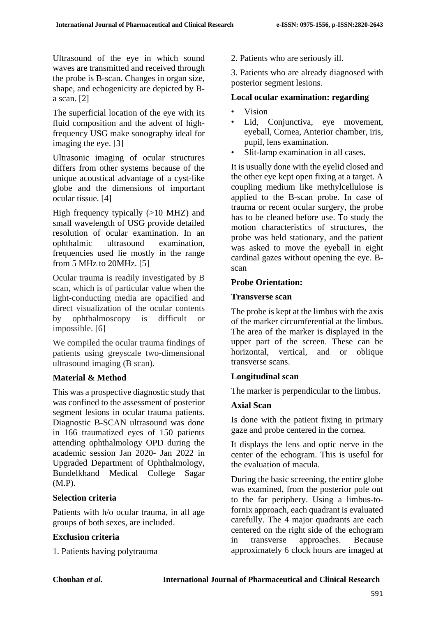Ultrasound of the eye in which sound waves are transmitted and received through the probe is B-scan. Changes in organ size, shape, and echogenicity are depicted by Ba scan. [2]

The superficial location of the eye with its fluid composition and the advent of highfrequency USG make sonography ideal for imaging the eye. [3]

Ultrasonic imaging of ocular structures differs from other systems because of the unique acoustical advantage of a cyst-like globe and the dimensions of important ocular tissue. [4]

High frequency typically (>10 MHZ) and small wavelength of USG provide detailed resolution of ocular examination. In an ophthalmic ultrasound examination, frequencies used lie mostly in the range from 5 MHz to 20MHz. [5]

Ocular trauma is readily investigated by B scan, which is of particular value when the light-conducting media are opacified and direct visualization of the ocular contents by ophthalmoscopy is difficult or impossible. [6]

We compiled the ocular trauma findings of patients using greyscale two-dimensional ultrasound imaging (B scan).

# **Material & Method**

This was a prospective diagnostic study that was confined to the assessment of posterior segment lesions in ocular trauma patients. Diagnostic B-SCAN ultrasound was done in 166 traumatized eyes of 150 patients attending ophthalmology OPD during the academic session Jan 2020- Jan 2022 in Upgraded Department of Ophthalmology, Bundelkhand Medical College Sagar (M.P).

## **Selection criteria**

Patients with h/o ocular trauma, in all age groups of both sexes, are included.

# **Exclusion criteria**

1. Patients having polytrauma

2. Patients who are seriously ill.

3. Patients who are already diagnosed with posterior segment lesions.

# **Local ocular examination: regarding**

- Vision
- Lid, Conjunctiva, eye movement, eyeball, Cornea, Anterior chamber, iris, pupil, lens examination.
- Slit-lamp examination in all cases.

It is usually done with the eyelid closed and the other eye kept open fixing at a target. A coupling medium like methylcellulose is applied to the B-scan probe. In case of trauma or recent ocular surgery, the probe has to be cleaned before use. To study the motion characteristics of structures, the probe was held stationary, and the patient was asked to move the eyeball in eight cardinal gazes without opening the eye. Bscan

# **Probe Orientation:**

## **Transverse scan**

The probe is kept at the limbus with the axis of the marker circumferential at the limbus. The area of the marker is displayed in the upper part of the screen. These can be horizontal, vertical, and or oblique transverse scans.

## **Longitudinal scan**

The marker is perpendicular to the limbus.

## **Axial Scan**

Is done with the patient fixing in primary gaze and probe centered in the cornea.

It displays the lens and optic nerve in the center of the echogram. This is useful for the evaluation of macula.

During the basic screening, the entire globe was examined, from the posterior pole out to the far periphery. Using a limbus-tofornix approach, each quadrant is evaluated carefully. The 4 major quadrants are each centered on the right side of the echogram in transverse approaches. Because approximately 6 clock hours are imaged at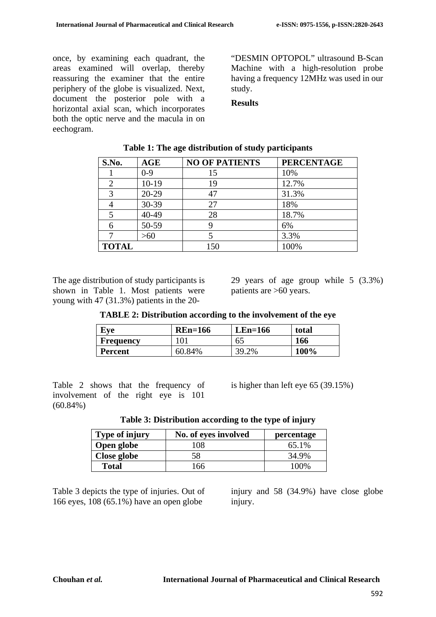once, by examining each quadrant, the areas examined will overlap, thereby reassuring the examiner that the entire periphery of the globe is visualized. Next, document the posterior pole with a horizontal axial scan, which incorporates both the optic nerve and the macula in on eechogram.

"DESMIN OPTOPOL" ultrasound B-Scan Machine with a high-resolution probe having a frequency 12MHz was used in our study.

### **Results**

| S.No.          | AGE     | <b>NO OF PATIENTS</b> | <b>PERCENTAGE</b> |
|----------------|---------|-----------------------|-------------------|
|                | $0 - 9$ | 15                    | 10%               |
| $\overline{2}$ | $10-19$ | 19                    | 12.7%             |
| 3              | 20-29   |                       | 31.3%             |
|                | 30-39   | 27                    | 18%               |
| 5              | 40-49   | 28                    | 18.7%             |
| 6              | 50-59   |                       | 6%                |
|                | >60     |                       | 3.3%              |
| <b>TOTAL</b>   |         | 150                   | 100%              |

#### **Table 1: The age distribution of study participants**

The age distribution of study participants is shown in Table 1. Most patients were young with 47 (31.3%) patients in the 20-

29 years of age group while 5 (3.3%) patients are >60 years.

| Eve              | $REn=166$ | $LEn=166$ | total |
|------------------|-----------|-----------|-------|
| <b>Frequency</b> |           | 65        | 166   |
| <b>Percent</b>   | 60.84%    | 2%        | 100%  |

Table 2 shows that the frequency of involvement of the right eye is 101  $(60.84\%)$ 

is higher than left eye 65 (39.15%)

|  | Table 3: Distribution according to the type of injury |  |
|--|-------------------------------------------------------|--|
|  |                                                       |  |

| Type of injury | No. of eyes involved | percentage |  |  |
|----------------|----------------------|------------|--|--|
| Open globe     | 108                  | 65.1%      |  |  |
| Close globe    |                      | 34.9%      |  |  |
| <b>Total</b>   | 66                   | 100%       |  |  |

Table 3 depicts the type of injuries. Out of 166 eyes, 108 (65.1%) have an open globe

injury and 58 (34.9%) have close globe injury.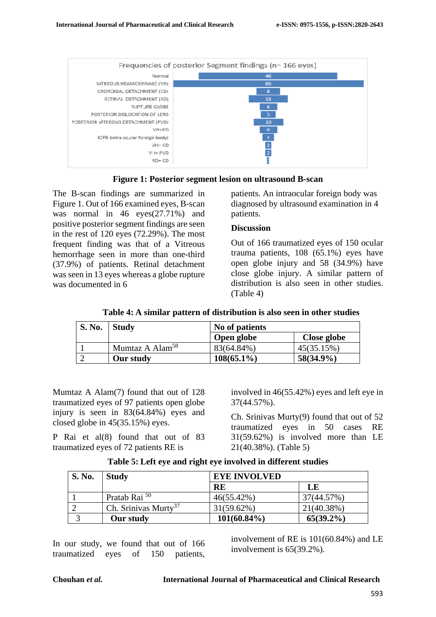



The B-scan findings are summarized in Figure 1. Out of 166 examined eyes, B-scan was normal in 46 eyes(27.71%) and positive posterior segment findings are seen in the rest of 120 eyes (72.29%). The most frequent finding was that of a Vitreous hemorrhage seen in more than one-third (37.9%) of patients. Retinal detachment was seen in 13 eyes whereas a globe rupture was documented in 6

patients. An intraocular foreign body was diagnosed by ultrasound examination in 4 patients.

### **Discussion**

Out of 166 traumatized eyes of 150 ocular trauma patients, 108 (65.1%) eyes have open globe injury and 58 (34.9%) have close globe injury. A similar pattern of distribution is also seen in other studies. (Table 4)

| Table 4: A similar pattern of distribution is also seen in other studies |  |  |  |  |
|--------------------------------------------------------------------------|--|--|--|--|
|--------------------------------------------------------------------------|--|--|--|--|

| S. No. | <b>Study</b>                | No of patients |              |  |  |  |
|--------|-----------------------------|----------------|--------------|--|--|--|
|        |                             | Open globe     | Close globe  |  |  |  |
|        | Mumtaz A Alam <sup>58</sup> | 83(64.84%)     | 45(35.15%)   |  |  |  |
|        | Our study                   | $108(65.1\%)$  | $58(34.9\%)$ |  |  |  |

Mumtaz A Alam(7) found that out of 128 traumatized eyes of 97 patients open globe injury is seen in 83(64.84%) eyes and closed globe in 45(35.15%) eyes.

P Rai et al(8) found that out of 83 traumatized eyes of 72 patients RE is

involved in 46(55.42%) eyes and left eye in 37(44.57%).

Ch. Srinivas Murty(9) found that out of 52 traumatized eyes in 50 cases RE 31(59.62%) is involved more than LE 21(40.38%). (Table 5)

|  |  |  |  |  | Table 5: Left eye and right eye involved in different studies |  |
|--|--|--|--|--|---------------------------------------------------------------|--|
|  |  |  |  |  |                                                               |  |

| <b>S. No.</b> | <b>Study</b>                     |                | <b>EYE INVOLVED</b> |  |  |  |
|---------------|----------------------------------|----------------|---------------------|--|--|--|
|               |                                  | <b>RE</b>      | LE                  |  |  |  |
|               | Pratab Rai <sup>50</sup>         | 46(55.42%)     | 37(44.57%)          |  |  |  |
|               | Ch. Srinivas Murty <sup>37</sup> | $31(59.62\%)$  | 21(40.38%)          |  |  |  |
|               | Our study                        | $101(60.84\%)$ | $65(39.2\%)$        |  |  |  |

In our study, we found that out of 166 traumatized eyes of 150 patients,

involvement of RE is 101(60.84%) and LE involvement is 65(39.2%).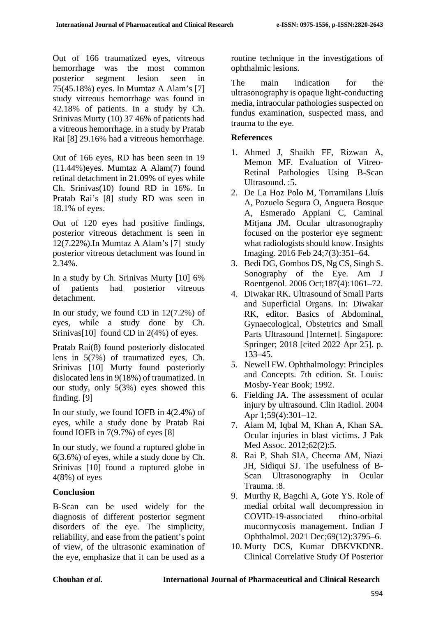Out of 166 traumatized eyes, vitreous hemorrhage was the most common posterior segment lesion seen in 75(45.18%) eyes. In Mumtaz A Alam's [7] study vitreous hemorrhage was found in 42.18% of patients. In a study by Ch. Srinivas Murty (10) 37 46% of patients had a vitreous hemorrhage. in a study by Pratab Rai [8] 29.16% had a vitreous hemorrhage.

Out of 166 eyes, RD has been seen in 19 (11.44%)eyes. Mumtaz A Alam(7) found retinal detachment in 21.09% of eyes while Ch. Srinivas(10) found RD in 16%. In Pratab Rai's [8] study RD was seen in 18.1% of eyes.

Out of 120 eyes had positive findings, posterior vitreous detachment is seen in 12(7.22%).In Mumtaz A Alam's [7] study posterior vitreous detachment was found in 2.34%.

In a study by Ch. Srinivas Murty [10] 6% of patients had posterior vitreous detachment.

In our study, we found CD in 12(7.2%) of eyes, while a study done by Ch. Srinivas<sup>[10]</sup> found CD in 2(4%) of eyes.

Pratab Rai(8) found posteriorly dislocated lens in 5(7%) of traumatized eyes, Ch. Srinivas [10] Murty found posteriorly dislocated lens in 9(18%) of traumatized. In our study, only 5(3%) eyes showed this finding. [9]

In our study, we found IOFB in 4(2.4%) of eyes, while a study done by Pratab Rai found IOFB in 7(9.7%) of eyes [8]

In our study, we found a ruptured globe in 6(3.6%) of eyes, while a study done by Ch. Srinivas [10] found a ruptured globe in 4(8%) of eyes

## **Conclusion**

B-Scan can be used widely for the diagnosis of different posterior segment disorders of the eye. The simplicity, reliability, and ease from the patient's point of view, of the ultrasonic examination of the eye, emphasize that it can be used as a routine technique in the investigations of ophthalmic lesions.

The main indication for the ultrasonography is opaque light-conducting media, intraocular pathologies suspected on fundus examination, suspected mass, and trauma to the eye.

## **References**

- 1. Ahmed J, Shaikh FF, Rizwan A, Memon MF. Evaluation of Vitreo-Retinal Pathologies Using B-Scan Ultrasound. :5.
- 2. De La Hoz Polo M, Torramilans Lluís A, Pozuelo Segura O, Anguera Bosque A, Esmerado Appiani C, Caminal Mitjana JM. Ocular ultrasonography focused on the posterior eye segment: what radiologists should know. Insights Imaging. 2016 Feb 24;7(3):351–64.
- 3. Bedi DG, Gombos DS, Ng CS, Singh S. Sonography of the Eye. Am J Roentgenol. 2006 Oct;187(4):1061–72.
- 4. Diwakar RK. Ultrasound of Small Parts and Superficial Organs. In: Diwakar RK, editor. Basics of Abdominal, Gynaecological, Obstetrics and Small Parts Ultrasound [Internet]. Singapore: Springer; 2018 [cited 2022 Apr 25]. p. 133–45.
- 5. Newell FW. Ophthalmology: Principles and Concepts. 7th edition. St. Louis: Mosby-Year Book; 1992.
- 6. Fielding JA. The assessment of ocular injury by ultrasound. Clin Radiol. 2004 Apr 1;59(4):301–12.
- 7. Alam M, Iqbal M, Khan A, Khan SA. Ocular injuries in blast victims. J Pak Med Assoc. 2012;62(2):5.
- 8. Rai P, Shah SIA, Cheema AM, Niazi JH, Sidiqui SJ. The usefulness of B-Scan Ultrasonography in Ocular Trauma. :8.
- 9. Murthy R, Bagchi A, Gote YS. Role of medial orbital wall decompression in COVID-19-associated rhino-orbital mucormycosis management. Indian J Ophthalmol. 2021 Dec;69(12):3795–6.
- 10. Murty DCS, Kumar DBKVKDNR. Clinical Correlative Study Of Posterior